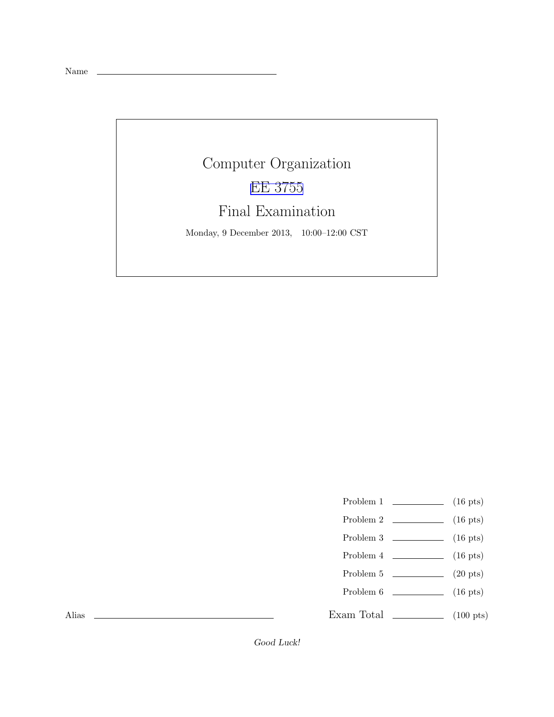Name

## Computer Organization [EE 3755](http://www.ece.lsu.edu/ee3755/) Final Examination

Monday, 9 December 2013, 10:00–12:00 CST

- Problem 1  $\qquad \qquad$  (16 pts)
- Problem 2  $\qquad \qquad$  (16 pts)
- Problem  $3 \t\t(16 \text{ pts})$
- Problem 4  $\qquad \qquad$  (16 pts)
- Problem 5  $\qquad \qquad$  (20 pts)
- Problem 6 (16 pts)
- Exam Total  $\qquad \qquad$  (100 pts)

Alias

Good Luck!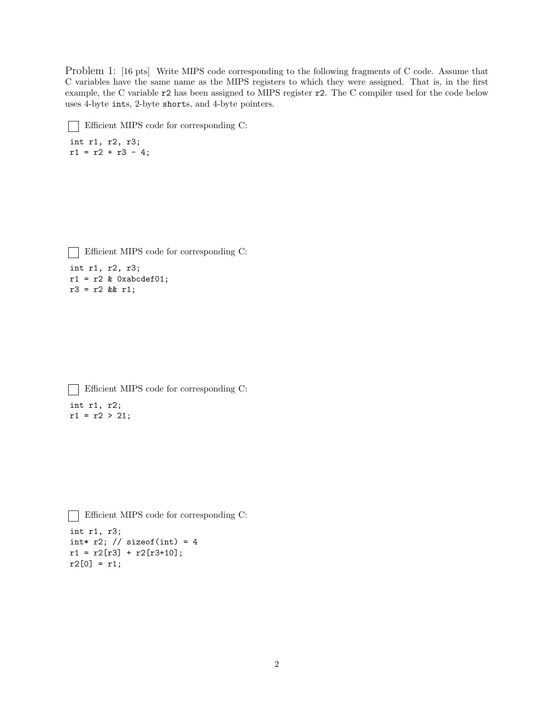Problem 1: [16 pts] Write MIPS code corresponding to the following fragments of C code. Assume that C variables have the same name as the MIPS registers to which they were assigned. That is, in the first example, the C variable r2 has been assigned to MIPS register r2. The C compiler used for the code below uses 4-byte ints, 2-byte shorts, and 4-byte pointers.

```
Efficient MIPS code for corresponding C:
int r1, r2, r3;
r1 = r2 + r3 - 4;Efficient MIPS code for corresponding C:
\mathbf{I}
```

```
int r1, r2, r3;
r1 = r2 & Oxabcdef01;
r3 = r2 && r1;
```

```
Efficient MIPS code for corresponding C:
\mathbf{1}int r1, r2;
r1 = r2 > 21;
```

```
Efficient MIPS code for corresponding C:
int r1, r3;
int* r2; // sizeof(int) = 4r1 = r2[r3] + r2[r3+10];r2[0] = r1;
```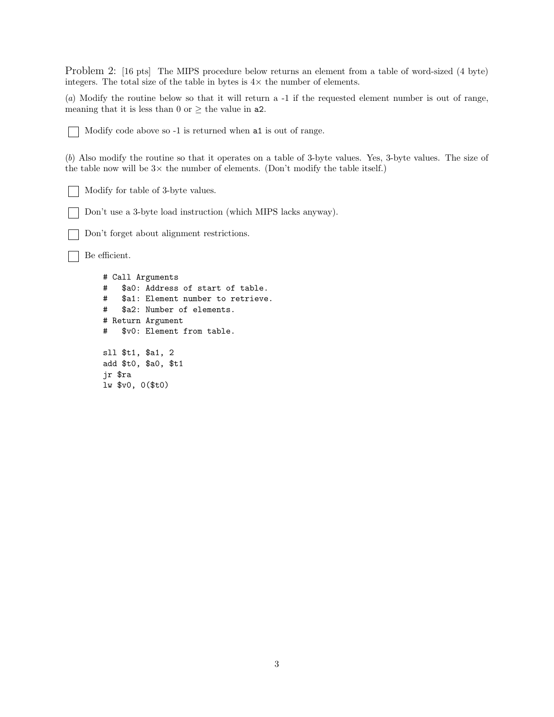Problem 2: [16 pts] The MIPS procedure below returns an element from a table of word-sized (4 byte) integers. The total size of the table in bytes is  $4 \times$  the number of elements.

(*a*) Modify the routine below so that it will return a -1 if the requested element number is out of range, meaning that it is less than 0 or  $\geq$  the value in **a2**.

Modify code above so -1 is returned when a1 is out of range.

(*b*) Also modify the routine so that it operates on a table of 3-byte values. Yes, 3-byte values. The size of the table now will be  $3\times$  the number of elements. (Don't modify the table itself.)

Modify for table of 3-byte values.

Don't use a 3-byte load instruction (which MIPS lacks anyway).

Don't forget about alignment restrictions.

Be efficient.

# Call Arguments # \$a0: Address of start of table. # \$a1: Element number to retrieve. # \$a2: Number of elements. # Return Argument # \$v0: Element from table. sll \$t1, \$a1, 2 add \$t0, \$a0, \$t1 jr \$ra lw \$v0, 0(\$t0)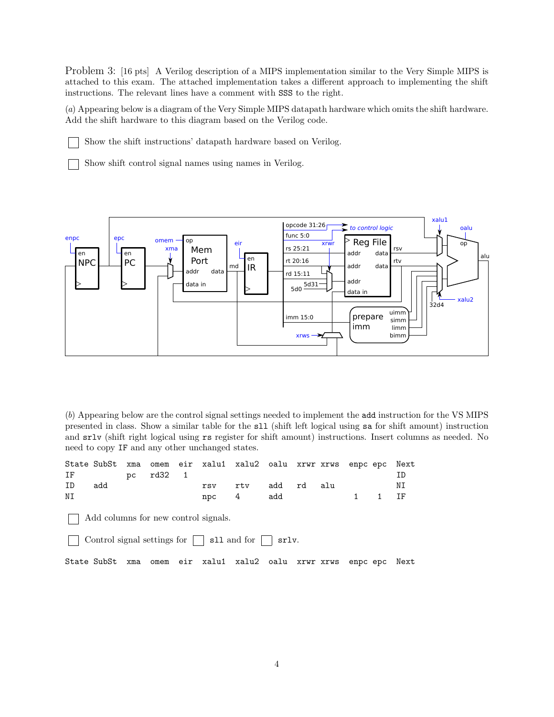Problem 3: [16 pts] A Verilog description of a MIPS implementation similar to the Very Simple MIPS is attached to this exam. The attached implementation takes a different approach to implementing the shift instructions. The relevant lines have a comment with SSS to the right.

(*a*) Appearing below is a diagram of the Very Simple MIPS datapath hardware which omits the shift hardware. Add the shift hardware to this diagram based on the Verilog code.

Show the shift instructions' datapath hardware based on Verilog.

Show shift control signal names using names in Verilog.



(*b*) Appearing below are the control signal settings needed to implement the add instruction for the VS MIPS presented in class. Show a similar table for the sll (shift left logical using sa for shift amount) instruction and srlv (shift right logical using rs register for shift amount) instructions. Insert columns as needed. No need to copy IF and any other unchanged states.

|                                      |     |    |        |  |         | State SubSt xma omem eir xalu1 xalu2 oalu xrwr xrws enpc epc Next |            |  |  |  |                             |    |
|--------------------------------------|-----|----|--------|--|---------|-------------------------------------------------------------------|------------|--|--|--|-----------------------------|----|
| $IF$ and $\blacksquare$              |     | DC | rd32 1 |  |         |                                                                   |            |  |  |  |                             |    |
| ID                                   | add |    |        |  | rsv     | rty                                                               | add rd alu |  |  |  |                             | NΙ |
| ΝI                                   |     |    |        |  | $npc$ 4 |                                                                   | add        |  |  |  | $1 \quad 1 \quad \text{TF}$ |    |
| Add columns for new control signals. |     |    |        |  |         |                                                                   |            |  |  |  |                             |    |

Control signal settings for  $\Box$  sll and for  $\Box$  srlv.

State SubSt xma omem eir xalu1 xalu2 oalu xrwr xrws enpc epc Next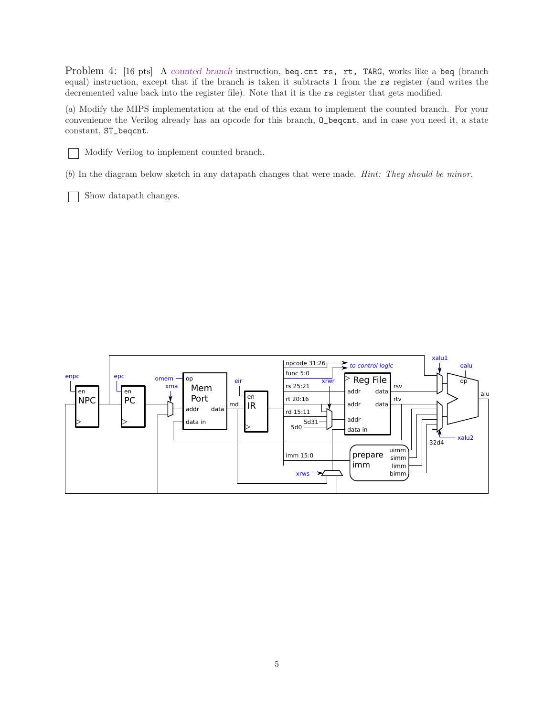Problem 4: [16 pts] A counted branch instruction, beq.cnt rs, rt, TARG, works like a beq (branch equal) instruction, except that if the branch is taken it subtracts 1 from the rs register (and writes the decremented value back into the register file). Note that it is the rs register that gets modified.

(*a*) Modify the MIPS implementation at the end of this exam to implement the counted branch. For your convenience the Verilog already has an opcode for this branch, O\_beqcnt, and in case you need it, a state constant, ST\_beqcnt.



Modify Verilog to implement counted branch.

(*b*) In the diagram below sketch in any datapath changes that were made. *Hint: They should be minor.*

Show datapath changes.

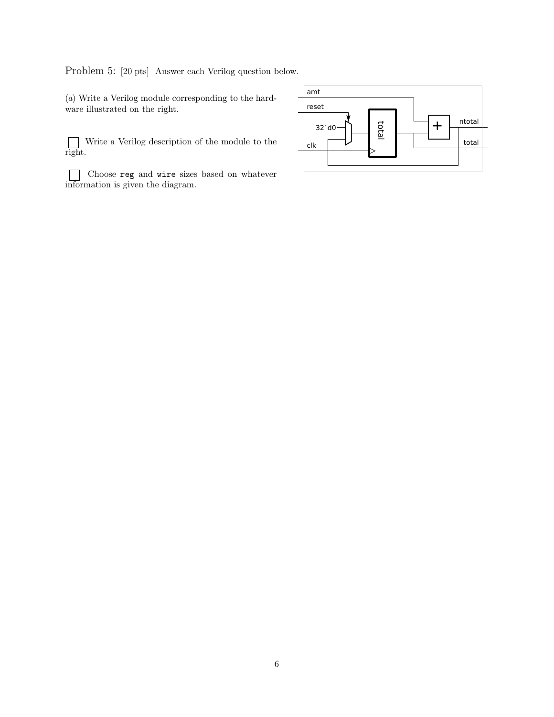Problem 5: [20 pts] Answer each Verilog question below.

(*a*) Write a Verilog module corresponding to the hardware illustrated on the right.

 $\Box$ Write a Verilog description of the module to the right.

Choose reg and wire sizes based on whatever information is given the diagram.

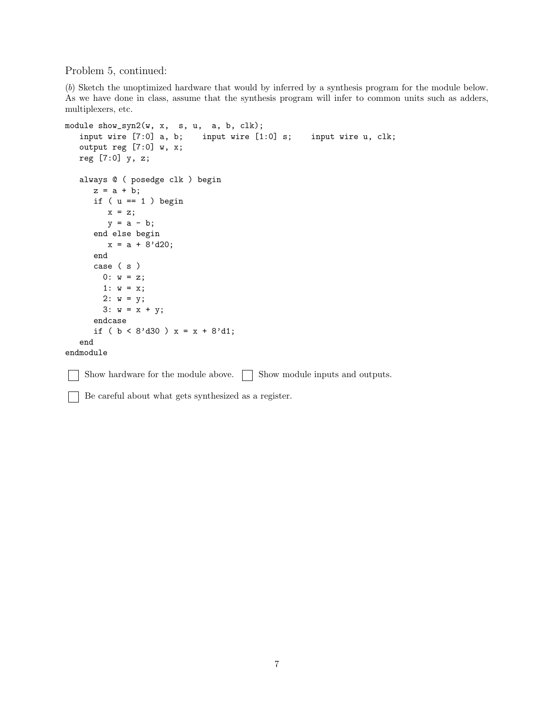Problem 5, continued:

 $\mathbf{L}$ 

(*b*) Sketch the unoptimized hardware that would by inferred by a synthesis program for the module below. As we have done in class, assume that the synthesis program will infer to common units such as adders, multiplexers, etc.

```
module show_syn2(w, x, s, u, a, b, clk);
   input wire [7:0] a, b; input wire [1:0] s; input wire u, clk;
  output reg [7:0] w, x;
  reg [7:0] y, z;
  always @ ( posedge clk ) begin
     z = a + b;
     if ( u == 1 ) begin
        x = z;y = a - b;end else begin
        x = a + 8' d20;end
     case ( s )
       0: w = z;1: w = x;2: w = y;3: w = x + y;endcase
      if ( b < 8'd30 ) x = x + 8'd1;
   end
endmodule
```
 $\Box$  Show hardware for the module above.  $\Box$  Show module inputs and outputs.

Be careful about what gets synthesized as a register.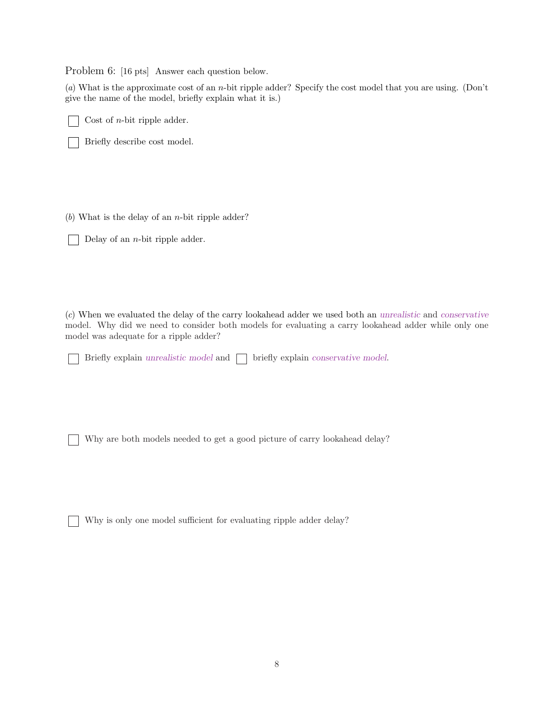Problem 6: [16 pts] Answer each question below.

(*a*) What is the approximate cost of an n-bit ripple adder? Specify the cost model that you are using. (Don't give the name of the model, briefly explain what it is.)

Cost of n-bit ripple adder.

Briefly describe cost model.

(*b*) What is the delay of an n-bit ripple adder?

Delay of an n-bit ripple adder.

(*c*) When we evaluated the delay of the carry lookahead adder we used both an unrealistic and conservative model. Why did we need to consider both models for evaluating a carry lookahead adder while only one model was adequate for a ripple adder?

Briefly explain unrealistic model and  $\Box$  briefly explain conservative model.

Why are both models needed to get a good picture of carry lookahead delay?

Why is only one model sufficient for evaluating ripple adder delay?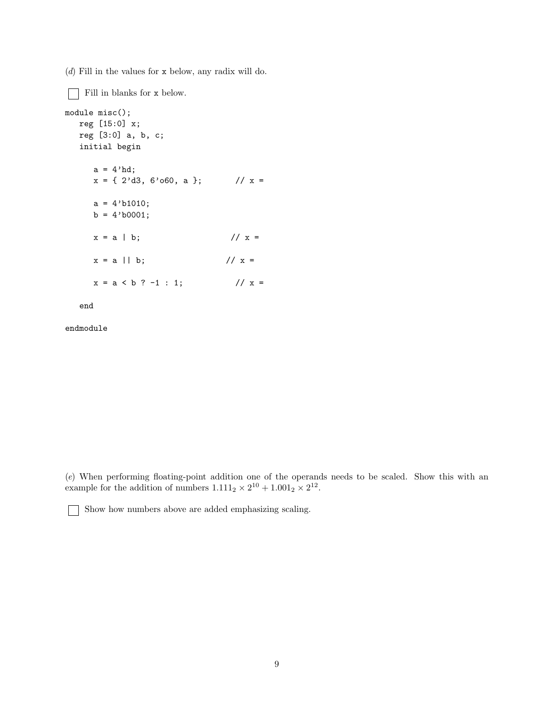(*d*) Fill in the values for x below, any radix will do.

Fill in blanks for x below. module misc(); reg [15:0] x; reg [3:0] a, b, c; initial begin  $a = 4'hd;$  $x = \{ 2'd3, 6'060, a \};$  //  $x =$  $a = 4' b1010;$  $b = 4'b0001;$  $x = a | b;$  //  $x =$  $x = a || b;$  //  $x =$  $x = a < b$  ? -1 : 1; //  $x =$ 

end

endmodule

(*e*) When performing floating-point addition one of the operands needs to be scaled. Show this with an example for the addition of numbers  $1.111_2 \times 2^{10} + 1.001_2 \times 2^{12}$ .

Show how numbers above are added emphasizing scaling.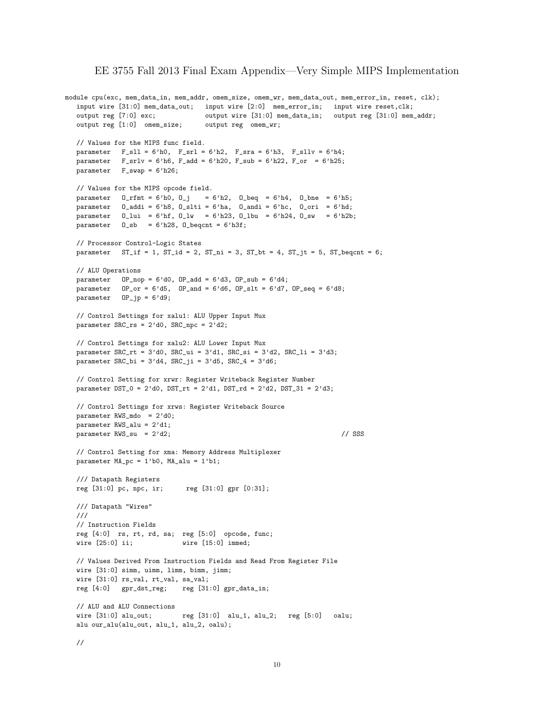## EE 3755 Fall 2013 Final Exam Appendix—Very Simple MIPS Implementation

```
module cpu(exc, mem_data_in, mem_addr, omem_size, omem_wr, mem_data_out, mem_error_in, reset, clk);
  input wire [31:0] mem_data_out; input wire [2:0] mem_error_in; input wire reset,clk;
  output reg [7:0] exc; output wire [31:0] mem_data_in; output reg [31:0] mem_addr;
  output reg [1:0] omem_size; output reg omem_wr;
  // Values for the MIPS func field.
  parameter F_s11 = 6'h0, F_s1 = 6'h2, F_s1 = 6'h3, F_s1 = 6'h4;
  parameter F_s rlv = 6'h6, F_s r20, F_s r = 6'h22, F_s r = 6'h25;
  parameter F_swap = 6'h26;
  // Values for the MIPS opcode field.
  parameter 0\_rfmt = 6'h0, 0_j = 6'h2, 0_beq = 6'h4, 0_bpe = 6'h5;parameter O_addi = 6'h8, O_slti = 6'ha, O_andi = 6'hc, O_ori = 6'hd;
   parameter O_lui = 6'hf, O_lw = 6'h23, O_lbu = 6'h24, O_sw = 6'h2b;
   parameter 0_s = 6'h28, 0_cbeqcnt = 6'h3f;
  // Processor Control-Logic States
  parameter ST_if = 1, ST_id = 2, ST_in = 3, ST_bt = 4, ST_jt = 5, ST_beqnt = 6;
  // ALU Operations
  parameter OP\_nop = 6'd0, OP\_add = 6'd3, OP\_sub = 6'd4;
  parameter OP_or = 6'd5, OP_and = 6'd6, OP_sIt = 6'd7, OP_seq = 6'd8;
  parameter OP_jp = 6'd9;
  // Control Settings for xalu1: ALU Upper Input Mux
  parameter SRC_rs = 2'd0, SRC_npc = 2'd2;
  // Control Settings for xalu2: ALU Lower Input Mux
  parameter SRC<sub>r</sub>t = 3'd0, SRC<sub>1</sub> = 3'd1, SRC<sub>5i</sub> = 3'd2, SRC<sub>1i</sub> = 3'd3;
  parameter SRC_bi = 3'd4, SRC_ji = 3'd5, SRC_4 = 3'd6;
  // Control Setting for xrwr: Register Writeback Register Number
  parameter DST_0 = 2'd0, DST_rt = 2'd1, DST_rd = 2'd2, DST_31 = 2'd3;
  // Control Settings for xrws: Register Writeback Source
  parameter RWS_mdo = 2'd0;
  parameter RWS_alu = 2'd1;
  parameter RWS_su = 2'd2; // SSS
  // Control Setting for xma: Memory Address Multiplexer
  parameter MA_pc = 1'b0, MA_alu = 1'b1;
  /// Datapath Registers
  reg [31:0] pc, npc, ir; reg [31:0] gpr [0:31];
  /// Datapath "Wires"
  ///
  // Instruction Fields
  reg [4:0] rs, rt, rd, sa; reg [5:0] opcode, func;
  wire [25:0] ii; wire [15:0] immed;
  // Values Derived From Instruction Fields and Read From Register File
  wire [31:0] simm, uimm, limm, bimm, jimm;
  wire [31:0] rs_val, rt_val, sa_val;
  reg [4:0] gpr_dst_reg; reg [31:0] gpr_data_in;
  // ALU and ALU Connections
  wire [31:0] alu_out; reg [31:0] alu_1, alu_2; reg [5:0] oalu;
  alu our_alu(alu_out, alu_1, alu_2, oalu);
  //
```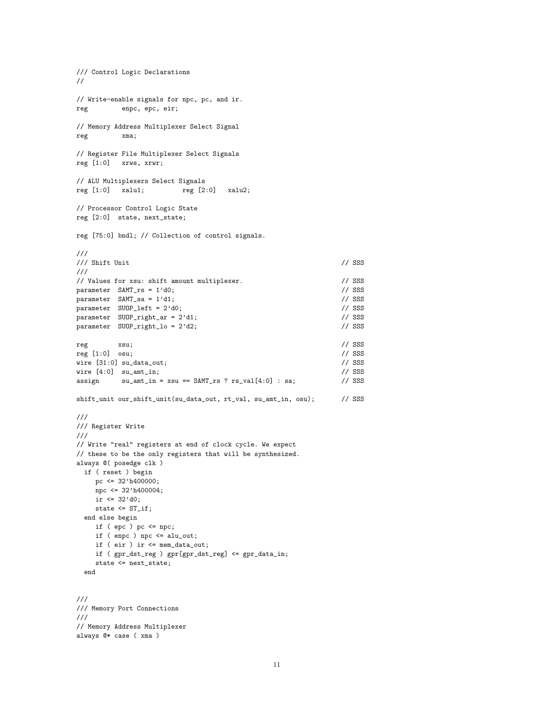```
/// Control Logic Declarations
//
// Write-enable signals for npc, pc, and ir.
reg enpc, epc, eir;
// Memory Address Multiplexer Select Signal
reg xma;
// Register File Multiplexer Select Signals
reg [1:0] xrws, xrwr;
// ALU Multiplexers Select Signals
reg [1:0] xalu1; reg [2:0] xalu2;
// Processor Control Logic State
reg [2:0] state, next_state;
reg [75:0] bndl; // Collection of control signals.
///
\frac{1}{2} Shift Unit \frac{1}{2} SSS
///
// Values for xsu: shift amount multiplexer. // SSS
parameter SAMT_r s = 1'd0; // SSS<br>parameter SAMT_s s = 1'd1; // SSS
parameter SAMT_sa = 1'd1;
parameter SUOP_left = 2'd0; \frac{1}{2} // SSS
parameter SUOP_right_ar = 2'd1; // SSS
parameter SUOP_right_lo = 2'd2; // SSS
reg xsu; // SSS
reg [1:0] osu;<br>
wire [31:0] su_data_out;<br>
// SSS // SSS
wire [31:0] su_data_out; \angle // SSS <br>wire [4:0] su_amt_in; \angle // SSS
wire [4:0] su_amt_in;
assign su\_amt\_in = xsu == SAMT_rs ? rs\_val[4:0] : sa; // SSS
shift_unit our_shift_unit(su_data_out, rt_val, su_amt_in, osu); // SSS
///
/// Register Write
///
// Write "real" registers at end of clock cycle. We expect
// these to be the only registers that will be synthesized.
always @( posedge clk )
 if ( reset ) begin
    pc \leq 32'h400000;
   npc <= 32'h400004;
   ir \leq 32' d0;state <= ST_if;
 end else begin
    if ( epc ) pc <= npc;
    if ( enpc ) npc <= alu_out;
    if ( eir ) ir <= mem_data_out;
    if ( gpr_dst_reg ) gpr[gpr_dst_reg] <= gpr_data_in;
    state <= next_state;
 end
///
/// Memory Port Connections
///
// Memory Address Multiplexer
always @* case ( xma )
```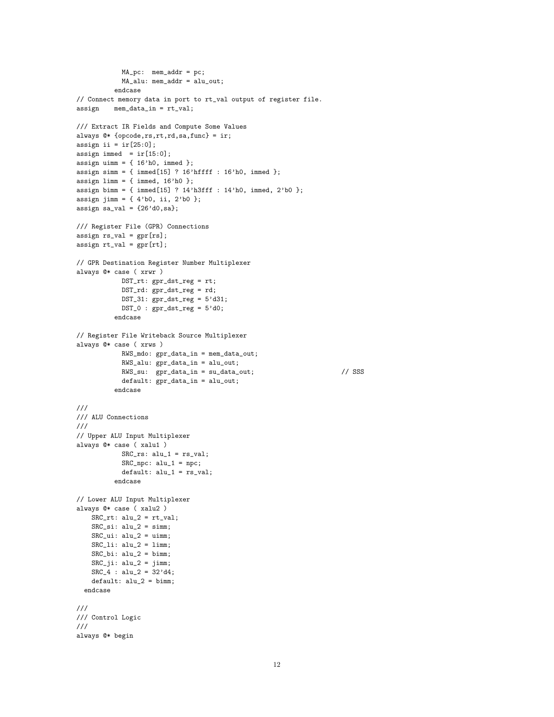```
MA_pc: mem_addr = pc;
            MA_alu: mem_addr = alu_out;
          endcase
// Connect memory data in port to rt_val output of register file.
assign mem_data_in = rt_val;
/// Extract IR Fields and Compute Some Values
always @* {opcode,rs,rt,rd,sa,func} = ir;
assign ii = ir[25:0];
assign immed = ir[15:0];
assign uimm = \{ 16'h0, \text{immed } \};assign simm = \{ \text{immed}[15] ? 16'hffff : 16'h0, immed };
assign limm = \{ \text{immed, } 16' \text{h0 } \};assign bimm = { immed[15] ? 14'h3fff : 14'h0, immed, 2'b0 };
assign jimm = \{4'b0, i1, 2'b0\};assign sa_val = {26' d0, sa};/// Register File (GPR) Connections
assign rs_val = gpr[rs];assign rt_val = gpr[rt];
// GPR Destination Register Number Multiplexer
always @* case ( xrwr )
            DST_rt: gpr_dst_reg = rt;
            DST_rd: gpr_dst_reg = rd;
            DST_31: gpr_dst_reg = 5'd31;DST_0 : gpr\_dst\_reg = 5'd0;endcase
// Register File Writeback Source Multiplexer
always @* case ( xrws )
            RWS_mdo: gpr_data_in = mem_data_out;
            RWS_alu: gpr_data_in = alu_out;
            RWS<sub>su:</sub> gpr_data_in = su_data.out; // SSS
            default: gpr_data_in = alu_out;
          endcase
///
/// ALU Connections
///
// Upper ALU Input Multiplexer
always @* case ( xalu1 )
            SRC_rs: alu_1 = rs_val;
            SRC_npc: alu_1 = npc;
            \detault: \text{alu1} = \text{rs}_\text{val};endcase
// Lower ALU Input Multiplexer
always @* case ( xalu2 )
   SRC\_rt: alu_2 = rt\_val;SRC\_si: alu_2 = simm;SRC\_ui: alu_2 = uimm;SRC\_li: alu_2 = limm;SRC_bi: alu_2 = bimm;
   SRC_ji: alu_2 = jimm;SRC_4 : alu_2 = 32'd4;default: <math>alu_2 = bimm;</math>endcase
///
/// Control Logic
///
always @* begin
```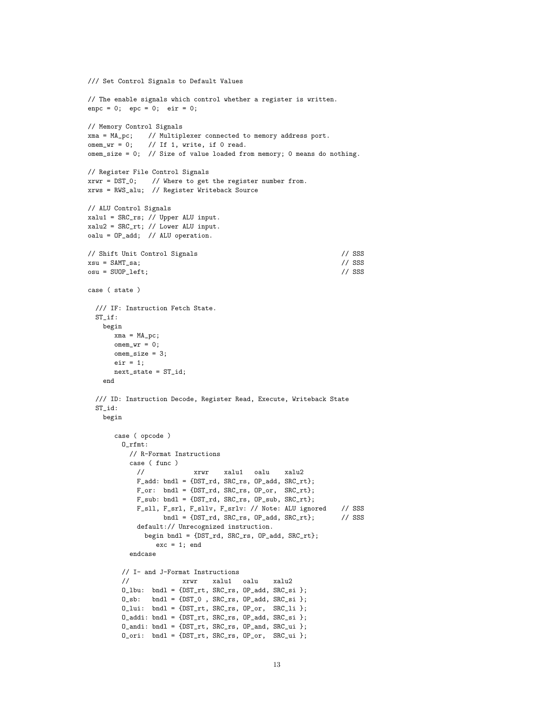```
/// Set Control Signals to Default Values
// The enable signals which control whether a register is written.
enpc = 0; epc = 0; eir = 0;
// Memory Control Signals
xma = MA_pc; // Multiplexer connected to memory address port.
omen\_wr = 0; // If 1, write, if 0 read.
omem_size = 0; // Size of value loaded from memory; 0 means do nothing.
// Register File Control Signals
xrwr = DST_0; // Where to get the register number from.
xrws = RWS_alu; // Register Writeback Source
// ALU Control Signals
xalu1 = SRC_rs; // Upper ALU input.
xalu2 = SRC_rt; // Lower ALU input.
oalu = OP_add; // ALU operation.
// Shift Unit Control Signals // SSS
xsu = SAMT_sa; // SSS
osu = SUBP{\_}left;case ( state )
 /// IF: Instruction Fetch State.
 ST_if:
   begin
      xma = MA_pc;
      omen\_wr = 0;omem_size = 3;
      eir = 1;next_state = ST_id;
    end
 /// ID: Instruction Decode, Register Read, Execute, Writeback State
 ST_id:
   begin
      case ( opcode )
        O_rfmt:
          // R-Format Instructions
          case ( func )
            // xrwr xalu1 oalu xalu2
            F_{add:} bndl = {DST_rd, SRC_rs, OP_add, SRC_rt};
            F_\text{or}: bndl = {DST_rd, SRC_rs, OP_or, SRC_rt};
            F_sub: bndl = {DST_rd, SRC_rs, OP_sub, SRC_rt};
            F_ssll, F_ssrl, F_ssllv, F_ssrlv: // Note: ALU ignored // SSS<br>bndl = {DST_rd, SRC_rs, OP_add, SRC_rt}; // SSS
                   bndl = {DST_rrd, SRC_rrs, OP_ddd, SRC_rrt};default:// Unrecognized instruction.
              begin bndl = {DST_rd, SRC_rs, OP_add, SRC_rt};
                 exc = 1; end
          endcase
        // I- and J-Format Instructions
        // xrwr xalu1 oalu xalu2
        0_lbu: bndl = \{DST_rrt, SRC_rrs, OP_d, SRC_s i\};O_sb: bndl = {DST_0 , SRC_rs, OP_add, SRC_si };
        0<sup>lui: bndl = {DST_rt, SRC_rs, OP_or, SRC_li };</sup>
        \texttt{0\_addi: bndl = \{DST\_rt, SRC\_rs, OP\_add, SRC\_si }\};0_andi: bndl = {DST_rt, SRC_rs, OP_and, SRC_ui };
        O_ori: bndl = {DST_rt, SRC_rs, OP_or, SRC_ui };
```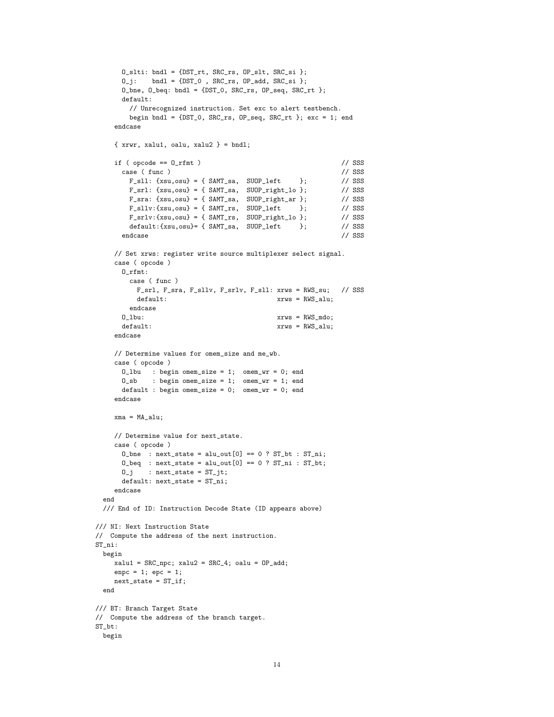```
0_slti: bndl = \{DST\_rt, SRC\_rs, OP\_slt, SRC\_si\};0_j: bndl = {DST_0 , SRC_rs, OP_add, SRC_si };
      O_bne, O_beq: bndl = {DST_0, SRC_rs, OP_seq, SRC_rt };
      default:
        // Unrecognized instruction. Set exc to alert testbench.
        begin bndl = \{DST_0, SRC_rrs, OP_s, SRC_rrt \}; exc = 1; endendcase
    \{ xrwr, xalu1, oalu, xalu2 \} = bnd1;if (opcode == 0_rfmt) // SSS
      case (func) // SSS
        F_ssll: {xsu,osu} = { SAMT_sa, SUOP_left }; // SSS<br>F_ssrl: {xsu,osu} = { SAMT_sa, SUOP_right_lo }; // SSS
        F_srl: {xsu,osu} = { SAMT_sa, SUOP_right_lo };
       F_sra: {xsu,osu} = { SAMT_sa, SUOP_right_ar }; // SSS<br>F_ssllv:{xsu,osu} = { SAMT_rs, SUOP_left }; // SSS
        F_s = s11v: {xsu, osu} = { SamT_rs, SU0P_{left}}F_srlv:\{xsu,osu\} = \{ SAMT_rrs, SU0P_right_to\}; // SSS
        default:\{xsu, osu\} = \{ SAMr\_sa, SUOP\_left \}; // SSS<br>dcase // SSS
       endcase // SSS
    // Set xrws: register write source multiplexer select signal.
    case ( opcode )
      O_rfmt:
        case ( func )
         F_srl, F_sra, F_sllv, F_srlv, F_sll: xrws = RWS_su; // SSS
         default: xrws = RWS_alu;endcase
      O_lbu: xrws = RWS_mdo;
      default: xrws = RWS_alu;endcase
    // Determine values for omem_size and me_wb.
    case ( opcode )
      O_lbu : begin omem_size = 1; omem_wr = 0; end
      O_sb : begin omem_size = 1; omem_wr = 1; end
      default : begin omem_size = 0; omem_wr = 0; end
    endcase
    xma = MA_alu;
    // Determine value for next_state.
    case ( opcode )
      0_\text{b} : next_state = alu_out[0] == 0 ? ST_bt : ST_ni;
      0_{\text{edge}} : next_state = alu_out[0] == 0 ? ST_ni : ST_bt;
      0_i : next_state = ST_iit;
      default: next_state = ST_ni;
    endcase
  end
 /// End of ID: Instruction Decode State (ID appears above)
/// NI: Next Instruction State
// Compute the address of the next instruction.
ST_ni:
 begin
    xalu1 = SRC_npc; xalu2 = SRC_4; oalu = OP_add;
    enpc = 1; epc = 1;
    next\_state = ST_iend
/// BT: Branch Target State
// Compute the address of the branch target.
ST_bt:
 begin
```